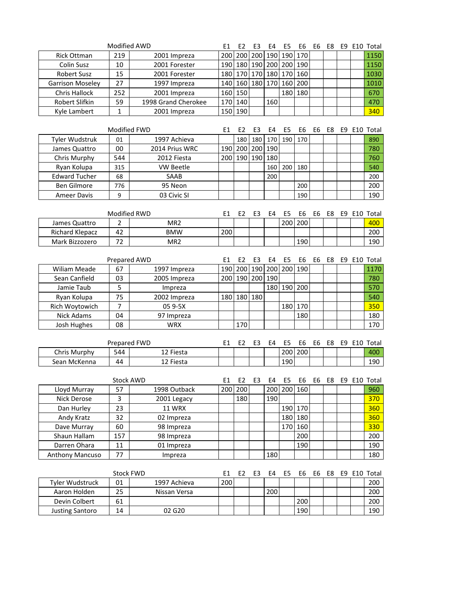| Modified AWD                 |                  |                     | E1             | E <sub>2</sub> | E3  | E4      | E5                    | E <sub>6</sub> | E6             | E8 |     |     | E9 E10 Total |
|------------------------------|------------------|---------------------|----------------|----------------|-----|---------|-----------------------|----------------|----------------|----|-----|-----|--------------|
| Rick Ottman                  | 219              | 2001 Impreza        | 200            | 200            | 200 | 190     | 190                   | 170            |                |    |     |     | 1150         |
| <b>Colin Susz</b>            | 10               | 2001 Forester       | 190            | 180            | 190 | 200 200 |                       | 190            |                |    |     |     | 1150         |
| <b>Robert Susz</b>           | 15               | 2001 Forester       | 180            | 170            | 170 | 180 170 |                       | 160            |                |    |     |     | 1030         |
| Garrison Moseley             | 27               | 1997 Impreza        | 140            | 160            | 180 | 170 160 |                       | 200            |                |    |     |     | 1010         |
| <b>Chris Hallock</b>         | 252              | 2001 Impreza        |                | 160 150        |     |         | 180                   | 180            |                |    |     |     | 670          |
| Robert Slifkin               | 59               | 1998 Grand Cherokee |                | 170 140        |     | 160     |                       |                |                |    |     |     | 470          |
| Kyle Lambert                 | $\mathbf 1$      | 2001 Impreza        | 150            | 190            |     |         |                       |                |                |    |     |     | 340          |
|                              |                  |                     |                |                |     |         |                       |                |                |    |     |     |              |
| Modified FWD                 |                  |                     | E1             | E <sub>2</sub> | E3  | E4      | E5                    | E6             | E6             | E8 | E9  |     | E10 Total    |
| Tyler Wudstruk               | 01               | 1997 Achieva        |                | 180            | 180 | 170     | 190                   | 170            |                |    |     |     | 890          |
| James Quattro                | 00               | 2014 Prius WRC      |                | 190 200        | 200 | 190     |                       |                |                |    |     |     | 780          |
| Chris Murphy                 | 544              | 2012 Fiesta         | 200            | 190            | 190 | 180     |                       |                |                |    |     |     | 760          |
| Ryan Kolupa                  | 315              | <b>VW Beetle</b>    |                |                |     | 160     | 200                   | 180            |                |    |     |     | 540          |
| <b>Edward Tucher</b>         | 68               | SAAB                |                |                |     | 200     |                       |                |                |    |     |     | 200          |
| <b>Ben Gilmore</b>           | 776              | 95 Neon             |                |                |     |         |                       | 200            |                |    |     |     | 200          |
| <b>Ameer Davis</b>           | 9                | 03 Civic SI         |                |                |     |         |                       | 190            |                |    |     |     | 190          |
|                              |                  |                     |                |                |     |         |                       |                |                |    |     |     |              |
|                              | Modified RWD     |                     | E1             | E <sub>2</sub> | E3  | E4      | E5                    | E <sub>6</sub> | E6             | E8 | E9  |     | E10 Total    |
| James Quattro                | $\overline{2}$   | MR <sub>2</sub>     |                |                |     |         | 200                   | 200            |                |    |     |     | 400          |
| <b>Richard Klepacz</b>       | 42               | <b>BMW</b>          | 200            |                |     |         |                       |                |                |    |     |     | 200          |
| Mark Bizzozero               | 72               | MR <sub>2</sub>     |                |                |     |         |                       | 190            |                |    |     |     | 190          |
|                              |                  |                     |                |                |     |         |                       |                |                |    |     |     |              |
|                              | Prepared AWD     |                     | E1             | E <sub>2</sub> | E3  | E4      | E <sub>5</sub>        | E <sub>6</sub> | E6             | E8 |     |     | E9 E10 Total |
| <b>Wiliam Meade</b>          | 67               | 1997 Impreza        | 190            | 200            | 190 |         | 200 200               | 190            |                |    |     |     | 1170         |
| Sean Canfield                | 03               | 2005 Impreza        | 200            | 190            | 200 | 190     |                       |                |                |    |     |     | 780          |
| Jamie Taub                   | 5                | Impreza             |                |                |     | 180     | 190                   | 200            |                |    |     |     | 570          |
| Ryan Kolupa                  | 75               | 2002 Impreza        | 180            | 180            | 180 |         |                       |                |                |    |     |     | 540          |
| Rich Woytowich               | $\overline{7}$   | 05 9-5X             |                |                |     |         | 180                   | 170            |                |    |     |     | 350          |
| <b>Nick Adams</b>            | 04               | 97 Impreza          |                |                |     |         |                       | 180            |                |    |     |     | 180          |
| Josh Hughes                  | 08               | <b>WRX</b>          |                | 170            |     |         |                       |                |                |    |     |     | 170          |
| Prepared FWD                 |                  |                     |                |                |     |         |                       |                |                |    |     |     |              |
|                              |                  | 12 Fiesta           | E <sub>1</sub> | E <sub>2</sub> | E3  | E4      | E <sub>5</sub><br>200 | E <sub>6</sub> | E <sub>6</sub> | E8 | E9  |     | E10 Total    |
| Chris Murphy<br>Sean McKenna | 544<br>44        | 12 Fiesta           |                |                |     |         | 190                   | 200            |                |    |     |     | 400<br>190   |
|                              |                  |                     |                |                |     |         |                       |                |                |    |     |     |              |
|                              | <b>Stock AWD</b> |                     | E1             | E <sub>2</sub> | E3  | E4      | E5                    | E6             | E6             | E8 |     | E10 | Total        |
| Lloyd Murray                 | 57               | 1998 Outback        | 200            | 200            |     |         | 200 200 160           |                |                |    | E9. |     | 960          |
| Nick Derose                  | 3                | 2001 Legacy         |                | 180            |     | 190     |                       |                |                |    |     |     | 370          |
| Dan Hurley                   | 23               | <b>11 WRX</b>       |                |                |     |         |                       | 190 170        |                |    |     |     | 360          |
| Andy Kratz                   | 32               | 02 Impreza          |                |                |     |         |                       | 180 180        |                |    |     |     | 360          |
| Dave Murray                  | 60               | 98 Impreza          |                |                |     |         | 170                   | 160            |                |    |     |     | 330          |
| Shaun Hallam                 | 157              | 98 Impreza          |                |                |     |         |                       | 200            |                |    |     |     | 200          |
| Darren Ohara                 | 11               | 01 Impreza          |                |                |     |         |                       | 190            |                |    |     |     | 190          |
| Anthony Mancuso              | 77               | Impreza             |                |                |     | 180     |                       |                |                |    |     |     | 180          |
|                              |                  |                     |                |                |     |         |                       |                |                |    |     |     |              |
| <b>Stock FWD</b>             |                  |                     | E1             | E <sub>2</sub> | E3  | E4      | E5                    | E6             | E6             | E8 |     |     | E9 E10 Total |
| Tyler Wudstruck              | 01               | 1997 Achieva        | 200            |                |     |         |                       |                |                |    |     |     | 200          |
| Aaron Holden                 | 25               | Nissan Versa        |                |                |     | 200     |                       |                |                |    |     |     | 200          |
| Devin Colbert                | 61               |                     |                |                |     |         |                       | 200            |                |    |     |     | 200          |
| <b>Justing Santoro</b>       | 14               | 02 G20              |                |                |     |         |                       | 190            |                |    |     |     | 190          |
|                              |                  |                     |                |                |     |         |                       |                |                |    |     |     |              |